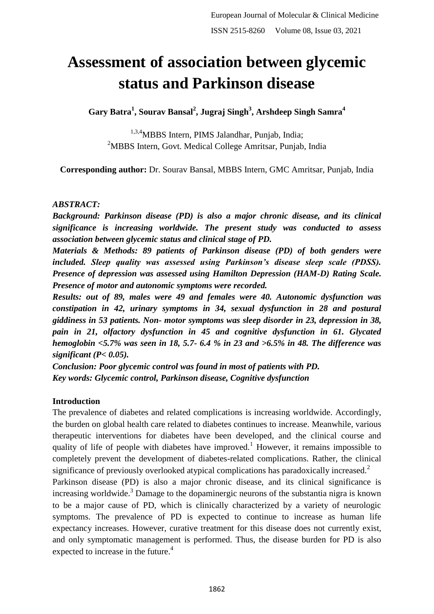# **Assessment of association between glycemic status and Parkinson disease**

**Gary Batra<sup>1</sup> , Sourav Bansal<sup>2</sup> , Jugraj Singh<sup>3</sup> , Arshdeep Singh Samra<sup>4</sup>**

1,3,4MBBS Intern, PIMS Jalandhar, Punjab, India; <sup>2</sup>MBBS Intern, Govt. Medical College Amritsar, Punjab, India

**Corresponding author:** Dr. Sourav Bansal, MBBS Intern, GMC Amritsar, Punjab, India

## *ABSTRACT:*

*Background: Parkinson disease (PD) is also a major chronic disease, and its clinical significance is increasing worldwide. The present study was conducted to assess association between glycemic status and clinical stage of PD.*

*Materials & Methods: 89 patients of Parkinson disease (PD) of both genders were included. Sleep quality was assessed using Parkinson's disease sleep scale (PDSS). Presence of depression was assessed using Hamilton Depression (HAM-D) Rating Scale. Presence of motor and autonomic symptoms were recorded.*

*Results: out of 89, males were 49 and females were 40. Autonomic dysfunction was constipation in 42, urinary symptoms in 34, sexual dysfunction in 28 and postural giddiness in 53 patients. Non- motor symptoms was sleep disorder in 23, depression in 38, pain in 21, olfactory dysfunction in 45 and cognitive dysfunction in 61. Glycated hemoglobin <5.7% was seen in 18, 5.7- 6.4 % in 23 and >6.5% in 48. The difference was significant (P< 0.05).*

*Conclusion: Poor glycemic control was found in most of patients with PD. Key words: Glycemic control, Parkinson disease, Cognitive dysfunction*

## **Introduction**

The prevalence of diabetes and related complications is increasing worldwide. Accordingly, the burden on global health care related to diabetes continues to increase. Meanwhile, various therapeutic interventions for diabetes have been developed, and the clinical course and quality of life of people with diabetes have improved.<sup>1</sup> However, it remains impossible to completely prevent the development of diabetes-related complications. Rather, the clinical significance of previously overlooked atypical complications has paradoxically increased.<sup>2</sup>

Parkinson disease (PD) is also a major chronic disease, and its clinical significance is increasing worldwide.<sup>3</sup> Damage to the dopaminergic neurons of the substantia nigra is known to be a major cause of PD, which is clinically characterized by a variety of neurologic symptoms. The prevalence of PD is expected to continue to increase as human life expectancy increases. However, curative treatment for this disease does not currently exist, and only symptomatic management is performed. Thus, the disease burden for PD is also expected to increase in the future.<sup>4</sup>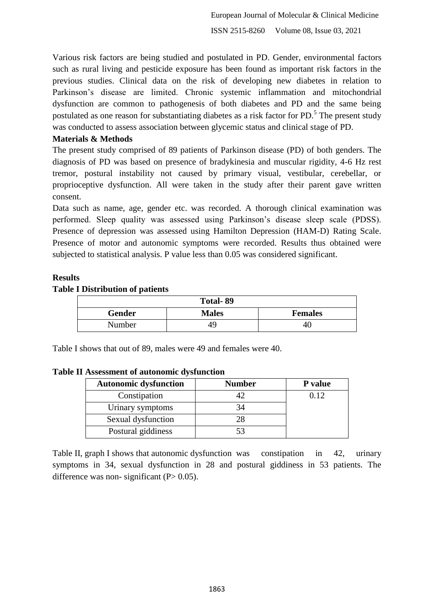ISSN 2515-8260 Volume 08, Issue 03, 2021

Various risk factors are being studied and postulated in PD. Gender, environmental factors such as rural living and pesticide exposure has been found as important risk factors in the previous studies. Clinical data on the risk of developing new diabetes in relation to Parkinson's disease are limited. Chronic systemic inflammation and mitochondrial dysfunction are common to pathogenesis of both diabetes and PD and the same being postulated as one reason for substantiating diabetes as a risk factor for PD.<sup>5</sup> The present study was conducted to assess association between glycemic status and clinical stage of PD.

#### **Materials & Methods**

The present study comprised of 89 patients of Parkinson disease (PD) of both genders. The diagnosis of PD was based on presence of bradykinesia and muscular rigidity, 4-6 Hz rest tremor, postural instability not caused by primary visual, vestibular, cerebellar, or proprioceptive dysfunction. All were taken in the study after their parent gave written consent.

Data such as name, age, gender etc. was recorded. A thorough clinical examination was performed. Sleep quality was assessed using Parkinson's disease sleep scale (PDSS). Presence of depression was assessed using Hamilton Depression (HAM-D) Rating Scale. Presence of motor and autonomic symptoms were recorded. Results thus obtained were subjected to statistical analysis. P value less than 0.05 was considered significant.

#### **Results**

#### **Table I Distribution of patients**

| Total-89 |              |                |  |  |
|----------|--------------|----------------|--|--|
| Gender   | <b>Males</b> | <b>Females</b> |  |  |
| Number   | 49           | 4U             |  |  |

Table I shows that out of 89, males were 49 and females were 40.

#### **Table II Assessment of autonomic dysfunction**

| <b>Autonomic dysfunction</b> | <b>Number</b> | P value |
|------------------------------|---------------|---------|
| Constipation                 |               | 0.12    |
| Urinary symptoms             |               |         |
| Sexual dysfunction           |               |         |
| Postural giddiness           | 53            |         |

Table II, graph I shows that autonomic dysfunction was constipation in 42, urinary symptoms in 34, sexual dysfunction in 28 and postural giddiness in 53 patients. The difference was non- significant  $(P> 0.05)$ .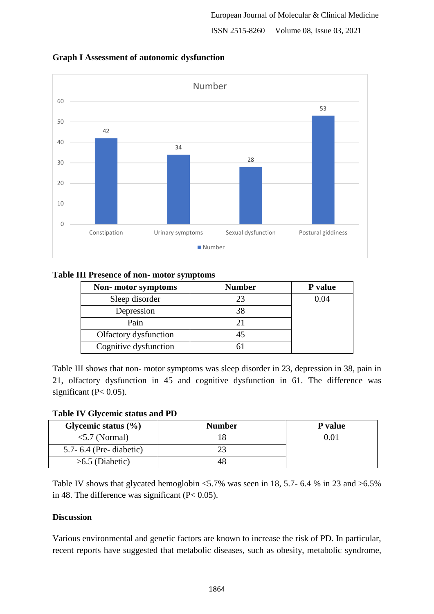ISSN 2515-8260 Volume 08, Issue 03, 2021



**Graph I Assessment of autonomic dysfunction**

#### **Table III Presence of non- motor symptoms**

| Non- motor symptoms   | <b>Number</b> | <b>P</b> value |
|-----------------------|---------------|----------------|
| Sleep disorder        | 23            | 0.04           |
| Depression            | 38            |                |
| Pain                  | 21            |                |
| Olfactory dysfunction | 45            |                |
| Cognitive dysfunction |               |                |

Table III shows that non- motor symptoms was sleep disorder in 23, depression in 38, pain in 21, olfactory dysfunction in 45 and cognitive dysfunction in 61. The difference was significant ( $P < 0.05$ ).

| Glycemic status $(\% )$        | <b>Number</b> | P value |
|--------------------------------|---------------|---------|
| $\langle 5.7 \rangle$ (Normal) |               | 0.01    |
| $5.7 - 6.4$ (Pre-diabetic)     |               |         |
| $>6.5$ (Diabetic)              |               |         |

**Table IV Glycemic status and PD**

Table IV shows that glycated hemoglobin <5.7% was seen in 18, 5.7- 6.4 % in 23 and >6.5% in 48. The difference was significant  $(P< 0.05)$ .

### **Discussion**

Various environmental and genetic factors are known to increase the risk of PD. In particular, recent reports have suggested that metabolic diseases, such as obesity, metabolic syndrome,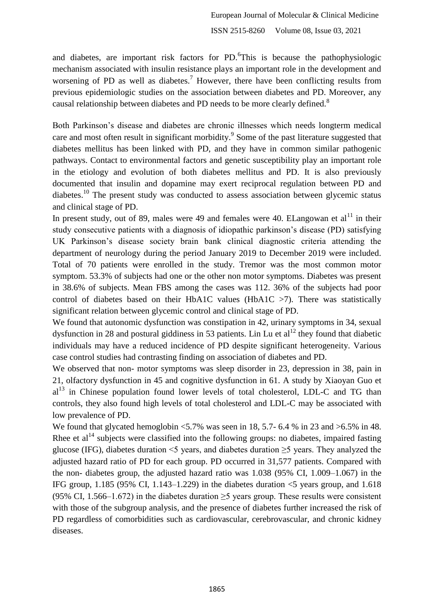and diabetes, are important risk factors for PD.<sup>6</sup>This is because the pathophysiologic mechanism associated with insulin resistance plays an important role in the development and worsening of PD as well as diabetes.<sup>7</sup> However, there have been conflicting results from previous epidemiologic studies on the association between diabetes and PD. Moreover, any causal relationship between diabetes and PD needs to be more clearly defined.<sup>8</sup>

Both Parkinson's disease and diabetes are chronic illnesses which needs longterm medical care and most often result in significant morbidity.<sup>9</sup> Some of the past literature suggested that diabetes mellitus has been linked with PD, and they have in common similar pathogenic pathways. Contact to environmental factors and genetic susceptibility play an important role in the etiology and evolution of both diabetes mellitus and PD. It is also previously documented that insulin and dopamine may exert reciprocal regulation between PD and diabetes.<sup>10</sup> The present study was conducted to assess association between glycemic status and clinical stage of PD.

In present study, out of 89, males were 49 and females were 40. ELangowan et  $al<sup>11</sup>$  in their study consecutive patients with a diagnosis of idiopathic parkinson's disease (PD) satisfying UK Parkinson's disease society brain bank clinical diagnostic criteria attending the department of neurology during the period January 2019 to December 2019 were included. Total of 70 patients were enrolled in the study. Tremor was the most common motor symptom. 53.3% of subjects had one or the other non motor symptoms. Diabetes was present in 38.6% of subjects. Mean FBS among the cases was 112. 36% of the subjects had poor control of diabetes based on their HbA1C values (HbA1C  $>7$ ). There was statistically significant relation between glycemic control and clinical stage of PD.

We found that autonomic dysfunction was constipation in 42, urinary symptoms in 34, sexual dysfunction in 28 and postural giddiness in 53 patients. Lin Lu et  $al^{12}$  they found that diabetic individuals may have a reduced incidence of PD despite significant heterogeneity. Various case control studies had contrasting finding on association of diabetes and PD.

We observed that non- motor symptoms was sleep disorder in 23, depression in 38, pain in 21, olfactory dysfunction in 45 and cognitive dysfunction in 61. A study by Xiaoyan Guo et al<sup>13</sup> in Chinese population found lower levels of total cholesterol, LDL-C and TG than controls, they also found high levels of total cholesterol and LDL-C may be associated with low prevalence of PD.

We found that glycated hemoglobin  $\langle 5.7\%$  was seen in 18, 5.7- 6.4 % in 23 and  $>6.5\%$  in 48. Rhee et al<sup>14</sup> subjects were classified into the following groups: no diabetes, impaired fasting glucose (IFG), diabetes duration  $\leq$ 5 years, and diabetes duration  $\geq$ 5 years. They analyzed the adjusted hazard ratio of PD for each group. PD occurred in 31,577 patients. Compared with the non- diabetes group, the adjusted hazard ratio was 1.038 (95% CI, 1.009–1.067) in the IFG group,  $1.185$  (95% CI,  $1.143-1.229$ ) in the diabetes duration  $\leq$  years group, and  $1.618$ (95% CI, 1.566–1.672) in the diabetes duration  $\geq$ 5 years group. These results were consistent with those of the subgroup analysis, and the presence of diabetes further increased the risk of PD regardless of comorbidities such as cardiovascular, cerebrovascular, and chronic kidney diseases.